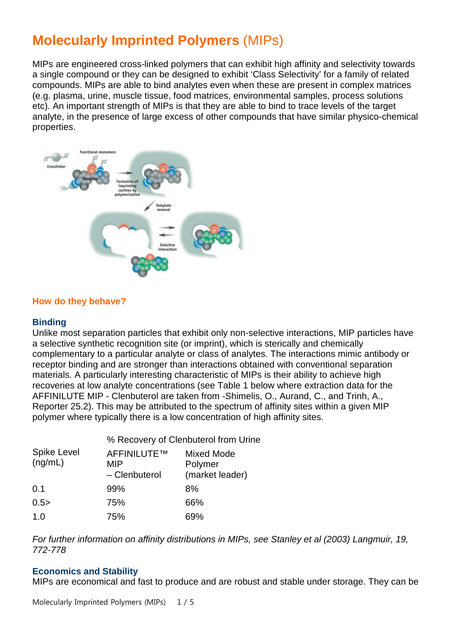# **Molecularly Imprinted Polymers** (MIPs)

MIPs are engineered cross-linked polymers that can exhibit high affinity and selectivity towards a single compound or they can be designed to exhibit 'Class Selectivity' for a family of related compounds. MIPs are able to bind analytes even when these are present in complex matrices (e.g. plasma, urine, muscle tissue, food matrices, environmental samples, process solutions etc). An important strength of MIPs is that they are able to bind to trace levels of the target analyte, in the presence of large excess of other compounds that have similar physico-chemical properties.



#### **How do they behave?**

#### **Binding**

Unlike most separation particles that exhibit only non-selective interactions, MIP particles have a selective synthetic recognition site (or imprint), which is sterically and chemically complementary to a particular analyte or class of analytes. The interactions mimic antibody or receptor binding and are stronger than interactions obtained with conventional separation materials. A particularly interesting characteristic of MIPs is their ability to achieve high recoveries at low analyte concentrations (see Table 1 below where extraction data for the AFFINILUTE MIP - Clenbuterol are taken from -Shimelis, O., Aurand, C., and Trinh, A., Reporter 25.2). This may be attributed to the spectrum of affinity sites within a given MIP polymer where typically there is a low concentration of high affinity sites.

| <b>Spike Level</b><br>(ng/mL) | % Recovery of Clenbuterol from Urine |                                                 |
|-------------------------------|--------------------------------------|-------------------------------------------------|
|                               | AFFINILUTE™<br>MIP<br>- Clenbuterol  | <b>Mixed Mode</b><br>Polymer<br>(market leader) |
| 0.1                           | 99%                                  | 8%                                              |
| 0.5>                          | 75%                                  | 66%                                             |
| 1.0                           | 75%                                  | 69%                                             |

*For further information on affinity distributions in MIPs, see Stanley et al (2003) Langmuir, 19, 772-778*

#### **Economics and Stability**

MIPs are economical and fast to produce and are robust and stable under storage. They can be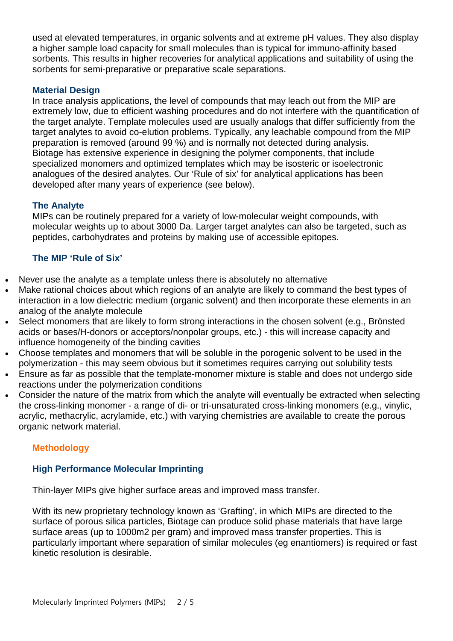used at elevated temperatures, in organic solvents and at extreme pH values. They also display a higher sample load capacity for small molecules than is typical for immuno-affinity based sorbents. This results in higher recoveries for analytical applications and suitability of using the sorbents for semi-preparative or preparative scale separations.

## **Material Design**

In trace analysis applications, the level of compounds that may leach out from the MIP are extremely low, due to efficient washing procedures and do not interfere with the quantification of the target analyte. Template molecules used are usually analogs that differ sufficiently from the target analytes to avoid co-elution problems. Typically, any leachable compound from the MIP preparation is removed (around 99 %) and is normally not detected during analysis. Biotage has extensive experience in designing the polymer components, that include specialized monomers and optimized templates which may be isosteric or isoelectronic analogues of the desired analytes. Our 'Rule of six' for analytical applications has been developed after many years of experience (see below).

#### **The Analyte**

MIPs can be routinely prepared for a variety of low-molecular weight compounds, with molecular weights up to about 3000 Da. Larger target analytes can also be targeted, such as peptides, carbohydrates and proteins by making use of accessible epitopes.

#### **The MIP 'Rule of Six'**

- Never use the analyte as a template unless there is absolutely no alternative
- Make rational choices about which regions of an analyte are likely to command the best types of interaction in a low dielectric medium (organic solvent) and then incorporate these elements in an analog of the analyte molecule
- Select monomers that are likely to form strong interactions in the chosen solvent (e.g., Brönsted acids or bases/H-donors or acceptors/nonpolar groups, etc.) - this will increase capacity and influence homogeneity of the binding cavities
- Choose templates and monomers that will be soluble in the porogenic solvent to be used in the polymerization - this may seem obvious but it sometimes requires carrying out solubility tests
- Ensure as far as possible that the template-monomer mixture is stable and does not undergo side reactions under the polymerization conditions
- Consider the nature of the matrix from which the analyte will eventually be extracted when selecting the cross-linking monomer - a range of di- or tri-unsaturated cross-linking monomers (e.g., vinylic, acrylic, methacrylic, acrylamide, etc.) with varying chemistries are available to create the porous organic network material.

## **Methodology**

#### **High Performance Molecular Imprinting**

Thin-layer MIPs give higher surface areas and improved mass transfer.

With its new proprietary technology known as 'Grafting', in which MIPs are directed to the surface of porous silica particles, Biotage can produce solid phase materials that have large surface areas (up to 1000m2 per gram) and improved mass transfer properties. This is particularly important where separation of similar molecules (eg enantiomers) is required or fast kinetic resolution is desirable.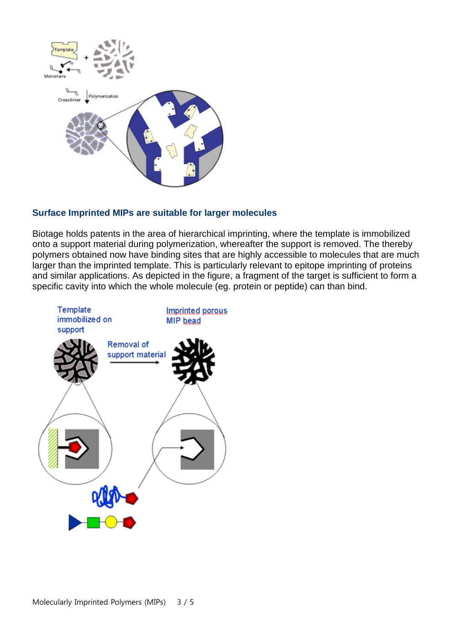

# **Surface Imprinted MIPs are suitable for larger molecules**

Biotage holds patents in the area of hierarchical imprinting, where the template is immobilized onto a support material during polymerization, whereafter the support is removed. The thereby polymers obtained now have binding sites that are highly accessible to molecules that are much larger than the imprinted template. This is particularly relevant to epitope imprinting of proteins and similar applications. As depicted in the figure, a fragment of the target is sufficient to form a specific cavity into which the whole molecule (eg. protein or peptide) can than bind.

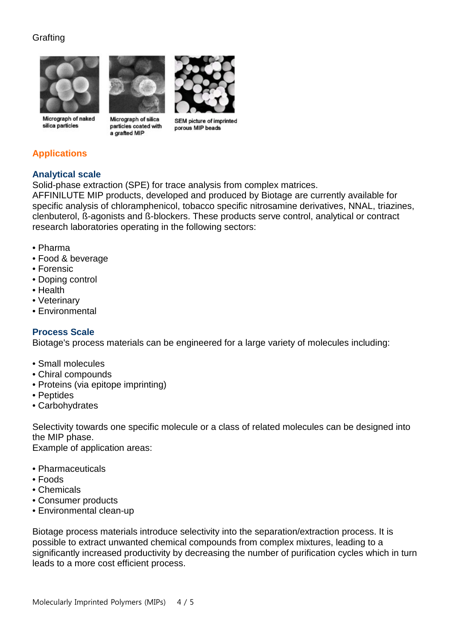# **Grafting**



Micrograph of naked silica particles



Micrograph of silica particles coated with a grafted MIP



**SEM picture of imprinted** porous MIP beads

# **Applications**

# **Analytical scale**

Solid-phase extraction (SPE) for trace analysis from complex matrices.

AFFINILUTE MIP products, developed and produced by Biotage are currently available for specific analysis of chloramphenicol, tobacco specific nitrosamine derivatives, NNAL, triazines, clenbuterol, ß-agonists and ß-blockers. These products serve control, analytical or contract research laboratories operating in the following sectors:

- Pharma
- Food & beverage
- Forensic
- Doping control
- Health
- Veterinary
- Environmental

## **Process Scale**

Biotage's process materials can be engineered for a large variety of molecules including:

- Small molecules
- Chiral compounds
- Proteins (via epitope imprinting)
- Peptides
- Carbohydrates

Selectivity towards one specific molecule or a class of related molecules can be designed into the MIP phase.

Example of application areas:

- Pharmaceuticals
- Foods
- Chemicals
- Consumer products
- Environmental clean-up

Biotage process materials introduce selectivity into the separation/extraction process. It is possible to extract unwanted chemical compounds from complex mixtures, leading to a significantly increased productivity by decreasing the number of purification cycles which in turn leads to a more cost efficient process.